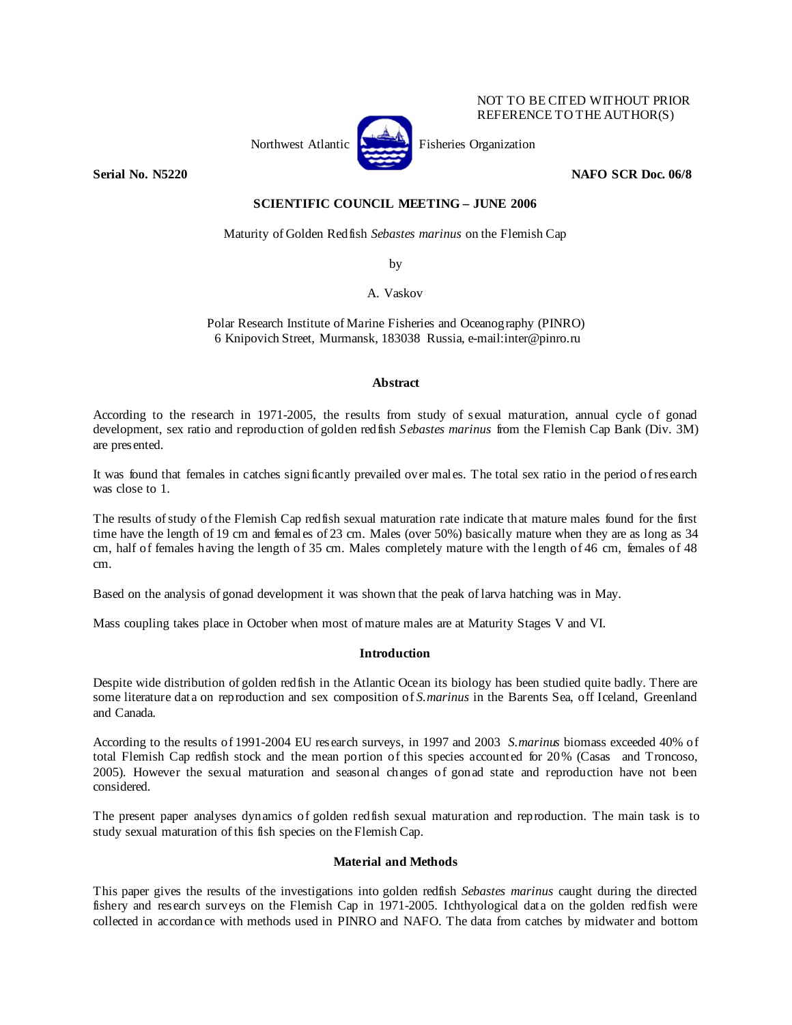

NOT TO BE CITED WITHOUT PRIOR REFERENCE TO THE AUTHOR(S)

# **Serial No. N5220 NAFO SCR Doc. 06/8**

# **SCIENTIFIC COUNCIL MEETING – JUNE 2006**

Maturity of Golden Redfish *Sebastes marinus* on the Flemish Cap

by

A. Vaskov

Polar Research Institute of Marine Fisheries and Oceanography (PINRO) 6 Knipovich Street, Murmansk, 183038 Russia, e-mail:inter@pinro.ru

### **Abstract**

According to the research in 1971-2005, the results from study of sexual maturation, annual cycle of gonad development, sex ratio and reproduction of golden redfish *Sebastes marinus* from the Flemish Cap Bank (Div. 3M) are presented.

It was found that females in catches significantly prevailed over males. The total sex ratio in the period of research was close to 1.

The results of study of the Flemish Cap redfish sexual maturation rate indicate that mature males found for the first time have the length of 19 cm and females of 23 cm. Males (over 50%) basically mature when they are as long as 34 cm, half of females having the length of 35 cm. Males completely mature with the length of 46 cm, females of 48 cm.

Based on the analysis of gonad development it was shown that the peak of larva hatching was in May.

Mass coupling takes place in October when most of mature males are at Maturity Stages V and VI.

### **Introduction**

Despite wide distribution of golden redfish in the Atlantic Ocean its biology has been studied quite badly. There are some literature data on reproduction and sex composition of *S.marinus* in the Barents Sea, off Iceland, Greenland and Canada.

According to the results of 1991-2004 EU research surveys, in 1997 and 2003 *S.marinus* biomass exceeded 40% of total Flemish Cap redfish stock and the mean portion of this species accounted for 20% (Casas and Troncoso, 2005). However the sexual maturation and seasonal changes of gonad state and reproduction have not been considered.

The present paper analyses dynamics of golden redfish sexual maturation and reproduction. The main task is to study sexual maturation of this fish species on the Flemish Cap.

# **Material and Methods**

This paper gives the results of the investigations into golden redfish *Sebastes marinus* caught during the directed fishery and research surveys on the Flemish Cap in 1971-2005. Ichthyological data on the golden redfish were collected in accordance with methods used in PINRO and NAFO. The data from catches by midwater and bottom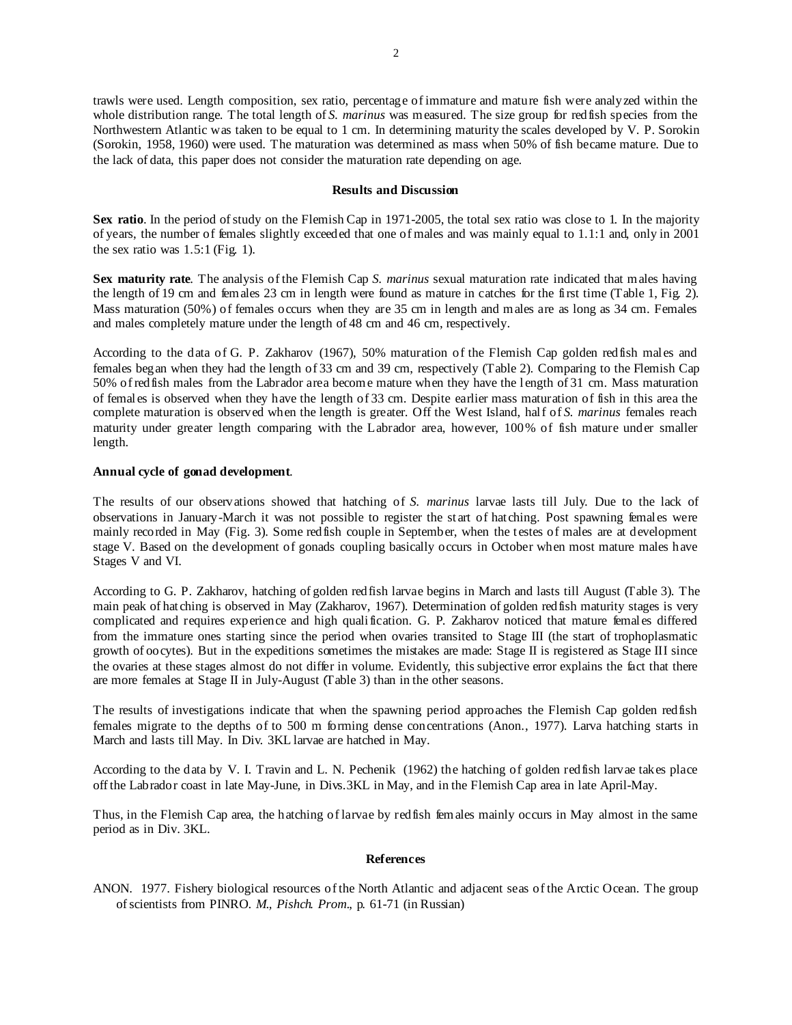trawls were used. Length composition, sex ratio, percentage of immature and mature fish were analyzed within the whole distribution range. The total length of *S. marinus* was measured. The size group for redfish species from the Northwestern Atlantic was taken to be equal to 1 cm. In determining maturity the scales developed by V. P. Sorokin (Sorokin, 1958, 1960) were used. The maturation was determined as mass when 50% of fish became mature. Due to the lack of data, this paper does not consider the maturation rate depending on age.

#### **Results and Discussion**

**Sex ratio**. In the period of study on the Flemish Cap in 1971-2005, the total sex ratio was close to 1. In the majority of years, the number of females slightly exceeded that one of males and was mainly equal to 1.1:1 and, only in 2001 the sex ratio was 1.5:1 (Fig. 1).

**Sex maturity rate**. The analysis of the Flemish Cap *S. marinus* sexual maturation rate indicated that males having the length of 19 cm and females 23 cm in length were found as mature in catches for the first time (Table 1, Fig. 2). Mass maturation (50%) of females occurs when they are 35 cm in length and males are as long as 34 cm. Females and males completely mature under the length of 48 cm and 46 cm, respectively.

According to the data of G. P. Zakharov (1967), 50% maturation of the Flemish Cap golden redfish males and females began when they had the length of 33 cm and 39 cm, respectively (Table 2). Comparing to the Flemish Cap 50% of redfish males from the Labrador area become mature when they have the length of 31 cm. Mass maturation of females is observed when they have the length of 33 cm. Despite earlier mass maturation of fish in this area the complete maturation is observed when the length is greater. Off the West Island, half of *S. marinus* females reach maturity under greater length comparing with the Labrador area, however, 100% of fish mature under smaller length.

## **Annual cycle of gonad development**.

The results of our observations showed that hatching of *S. marinus* larvae lasts till July. Due to the lack of observations in January-March it was not possible to register the start of hatching. Post spawning females were mainly recorded in May (Fig. 3). Some redfish couple in September, when the testes of males are at development stage V. Based on the development of gonads coupling basically occurs in October when most mature males have Stages V and VI.

According to G. P. Zakharov, hatching of golden redfish larvae begins in March and lasts till August (Table 3). The main peak of hatching is observed in May (Zakharov, 1967). Determination of golden redfish maturity stages is very complicated and requires experience and high qualification. G. P. Zakharov noticed that mature females differed from the immature ones starting since the period when ovaries transited to Stage III (the start of trophoplasmatic growth of oocytes). But in the expeditions sometimes the mistakes are made: Stage II is registered as Stage III since the ovaries at these stages almost do not differ in volume. Evidently, this subjective error explains the fact that there are more females at Stage II in July-August (Table 3) than in the other seasons.

The results of investigations indicate that when the spawning period approaches the Flemish Cap golden redfish females migrate to the depths of to 500 m forming dense concentrations (Anon., 1977). Larva hatching starts in March and lasts till May. In Div. 3KL larvae are hatched in May.

According to the data by V. I. Travin and L. N. Pechenik (1962) the hatching of golden redfish larvae takes place off the Labrador coast in late May-June, in Divs.3KL in May, and in the Flemish Cap area in late April-May.

Thus, in the Flemish Cap area, the hatching of larvae by redfish females mainly occurs in May almost in the same period as in Div. 3KL.

### **References**

ANON. 1977. Fishery biological resources of the North Atlantic and adjacent seas of the Arctic Ocean. The group of scientists from PINRO. *M., Pishch. Prom*., p. 61-71 (in Russian)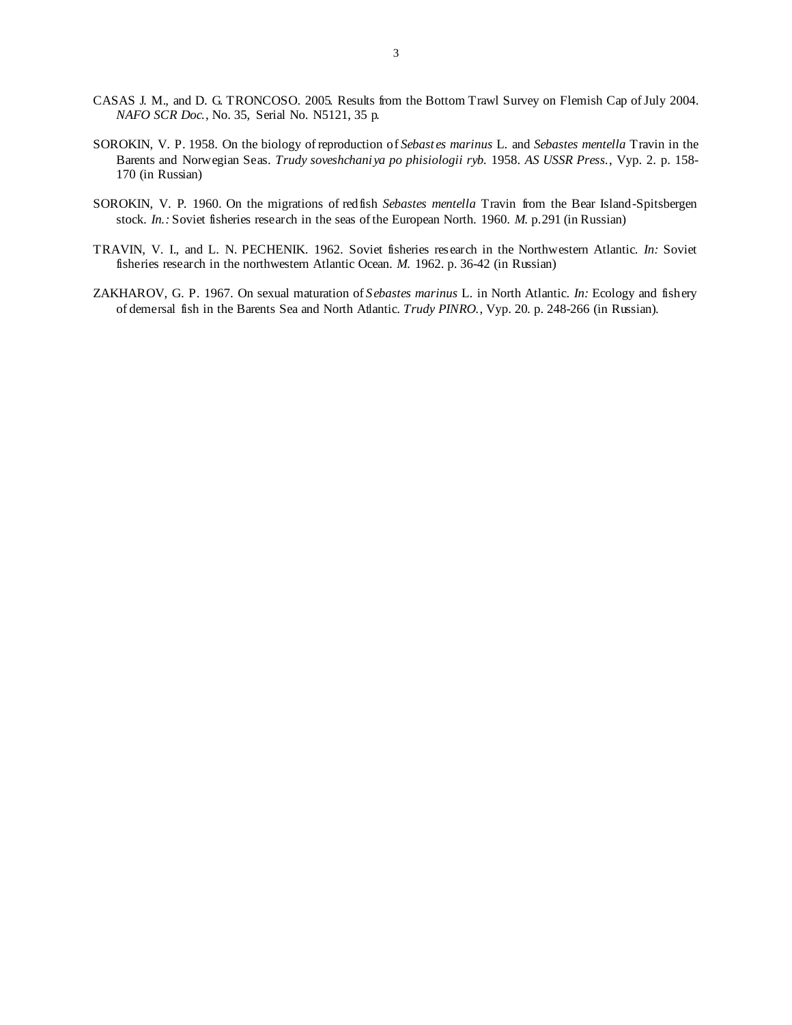- CASAS J. M., and D. G. TRONCOSO. 2005. Results from the Bottom Trawl Survey on Flemish Cap of July 2004. *NAFO SCR Doc.*, No. 35, Serial No. N5121, 35 p.
- SOROKIN, V. P. 1958. On the biology of reproduction of *Sebastes marinus* L. and *Sebastes mentella* Travin in the Barents and Norwegian Seas. *Trudy soveshchaniya po phisiologii ryb.* 1958. *AS USSR Press.*, Vyp. 2. p. 158- 170 (in Russian)
- SOROKIN, V. P. 1960. On the migrations of redfish *Sebastes mentella* Travin from the Bear Island-Spitsbergen stock. *In.:* Soviet fisheries research in the seas of the European North. 1960. *M.* p.291 (in Russian)
- TRAVIN, V. I., and L. N. PECHENIK. 1962. Soviet fisheries research in the Northwestern Atlantic. *In:* Soviet fisheries research in the northwestern Atlantic Ocean. *M.* 1962. p. 36-42 (in Russian)
- ZAKHAROV, G. P. 1967. On sexual maturation of *Sebastes marinus* L. in North Atlantic. *In:* Ecology and fishery of demersal fish in the Barents Sea and North Atlantic. *Trudy PINRO.*, Vyp. 20*.* p. 248-266 (in Russian).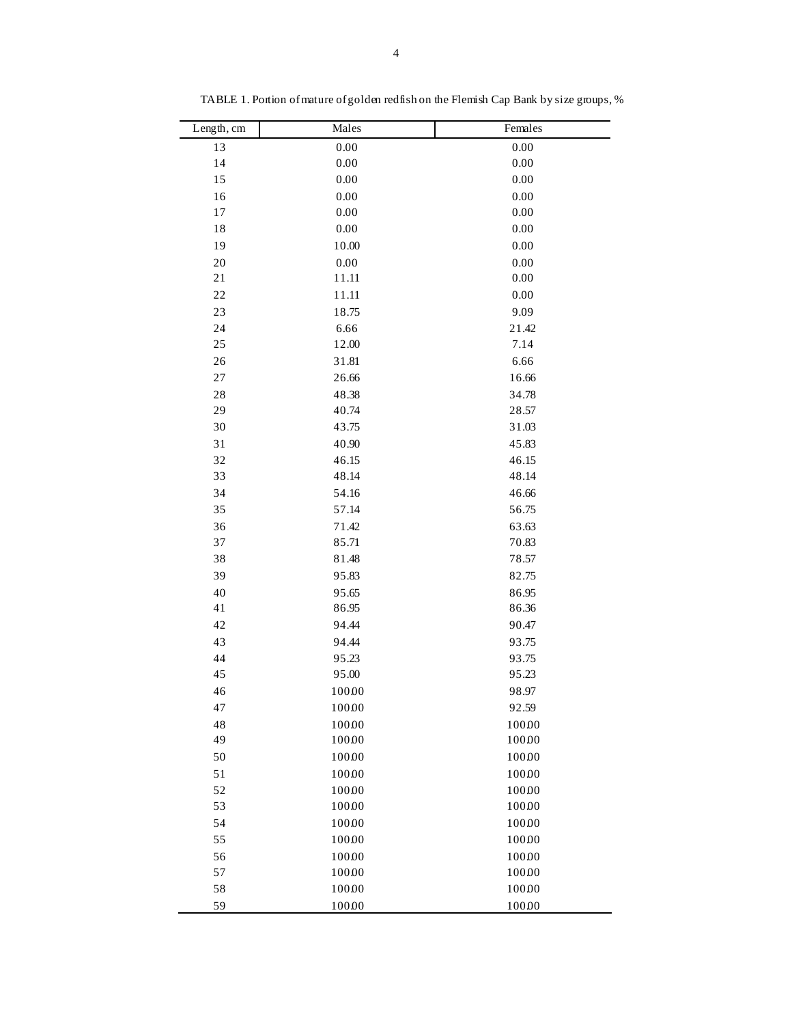| Length, cm  | Males    | Females  |
|-------------|----------|----------|
| 13          | 0.00     | 0.00     |
| 14          | $0.00\,$ | $0.00\,$ |
| 15          | 0.00     | $0.00\,$ |
| 16          | 0.00     | 0.00     |
| 17          | 0.00     | 0.00     |
| 18          | $0.00\,$ | $0.00\,$ |
| 19          | 10.00    | $0.00\,$ |
| 20          | 0.00     | 0.00     |
| 21          | 11.11    | $0.00\,$ |
| 22          | 11.11    | $0.00\,$ |
| 23          | 18.75    | 9.09     |
| 24          | 6.66     | 21.42    |
| $25\,$      | 12.00    | 7.14     |
| 26          | 31.81    | 6.66     |
| $27\,$      | 26.66    | 16.66    |
| $2\sqrt{8}$ | 48.38    | 34.78    |
| 29          | 40.74    | 28.57    |
| $30\,$      | 43.75    | 31.03    |
| 31          | 40.90    | 45.83    |
| 32          | 46.15    | 46.15    |
| 33          | 48.14    | 48.14    |
| 34          | 54.16    | 46.66    |
| 35          | 57.14    | 56.75    |
| 36          | 71.42    | 63.63    |
| 37          | 85.71    | 70.83    |
| 38          | 81.48    | 78.57    |
| 39          | 95.83    | 82.75    |
| 40          | 95.65    | 86.95    |
| 41          | 86.95    | 86.36    |
| 42          | 94.44    | 90.47    |
| 43          | 94.44    | 93.75    |
| 44          | 95.23    | 93.75    |
| 45          | 95.00    | 95.23    |
| 46          | 10000    | 98.97    |
| 47          | 10000    | 92.59    |
| 48          | 10000    | 10000    |
| 49          | 10000    | 10000    |
| 50          | 10000    | 10000    |
| 51          | 10000    | 10000    |
| 52          | 10000    | 10000    |
| 53          | 10000    | 10000    |
| 54          | 10000    | 10000    |
| 55          | 10000    | 10000    |
| 56          | 10000    | 10000    |
| 57          | 10000    | 10000    |
| 58          | 10000    | 10000    |
| 59          | 10000    | 10000    |

TABLE 1. Portion of mature of golden redfish on the Flemish Cap Bank by size groups, %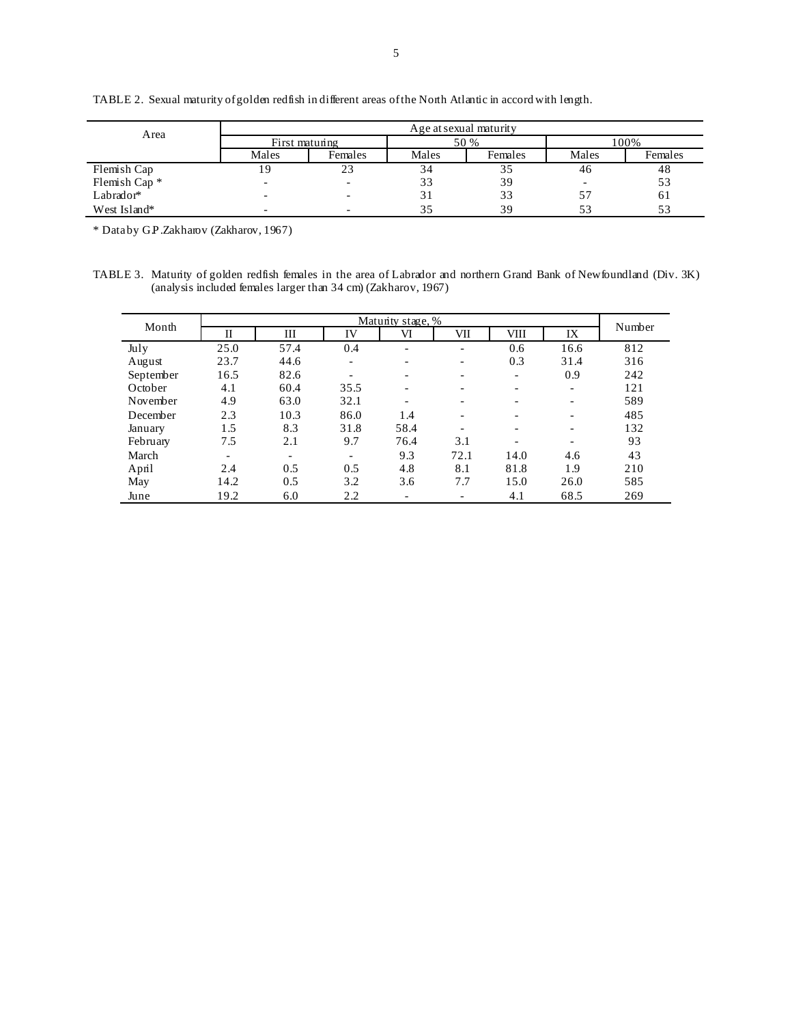| Area                     | Age at sexual maturity |         |       |         |                          |         |
|--------------------------|------------------------|---------|-------|---------|--------------------------|---------|
|                          | First maturing         |         | 50 %  |         | 100%                     |         |
|                          | Males                  | Females | Males | Females | Males                    | Females |
| Flemish Cap              |                        | 23      | 34    | 35      | 46                       | 48      |
| Flemish Cap <sup>*</sup> |                        |         | 33    | 39      | $\overline{\phantom{0}}$ | 53      |
| Labrador*                |                        |         |       | 33      | 57                       | 61      |
| West Island*             |                        |         |       | 39      | 53                       | 53      |

TABLE 2. Sexual maturity of golden redfish in different areas of the North Atlantic in accord with length.

\* Data by G.P.Zakharov (Zakharov, 1967)

TABLE 3. Maturity of golden redfish females in the area of Labrador and northern Grand Bank of Newfoundland (Div. 3K) (analysis included females larger than 34 cm) (Zakharov, 1967)

| Month     | Matunty stage, %         |                          |                          |                          |                          |                          |                          |        |
|-----------|--------------------------|--------------------------|--------------------------|--------------------------|--------------------------|--------------------------|--------------------------|--------|
|           | П                        | Ш                        | IV                       | VI                       | VII                      | <b>VIII</b>              | IX                       | Number |
| July      | 25.0                     | 57.4                     | 0.4                      | $\overline{\phantom{0}}$ | $\overline{\phantom{a}}$ | 0.6                      | 16.6                     | 812    |
| August    | 23.7                     | 44.6                     | $\overline{\phantom{0}}$ |                          | $\overline{\phantom{a}}$ | 0.3                      | 31.4                     | 316    |
| September | 16.5                     | 82.6                     |                          | $\overline{\phantom{0}}$ | $\overline{\phantom{a}}$ | $\overline{\phantom{0}}$ | 0.9                      | 242    |
| October   | 4.1                      | 60.4                     | 35.5                     |                          | -                        |                          | $\overline{\phantom{a}}$ | 121    |
| November  | 4.9                      | 63.0                     | 32.1                     |                          | $\overline{\phantom{a}}$ |                          | $\overline{\phantom{a}}$ | 589    |
| December  | 2.3                      | 10.3                     | 86.0                     | 1.4                      | $\overline{\phantom{a}}$ |                          | $\overline{\phantom{a}}$ | 485    |
| January   | 1.5                      | 8.3                      | 31.8                     | 58.4                     | $\overline{\phantom{0}}$ |                          | $\overline{\phantom{a}}$ | 132    |
| February  | 7.5                      | 2.1                      | 9.7                      | 76.4                     | 3.1                      |                          | $\overline{\phantom{a}}$ | 93     |
| March     | $\overline{\phantom{a}}$ | $\overline{\phantom{a}}$ | $\overline{\phantom{a}}$ | 9.3                      | 72.1                     | 14.0                     | 4.6                      | 43     |
| April     | 2.4                      | 0.5                      | 0.5                      | 4.8                      | 8.1                      | 81.8                     | 1.9                      | 210    |
| May       | 14.2                     | 0.5                      | 3.2                      | 3.6                      | 7.7                      | 15.0                     | 26.0                     | 585    |
| June      | 19.2                     | 6.0                      | 2.2                      |                          | -                        | 4.1                      | 68.5                     | 269    |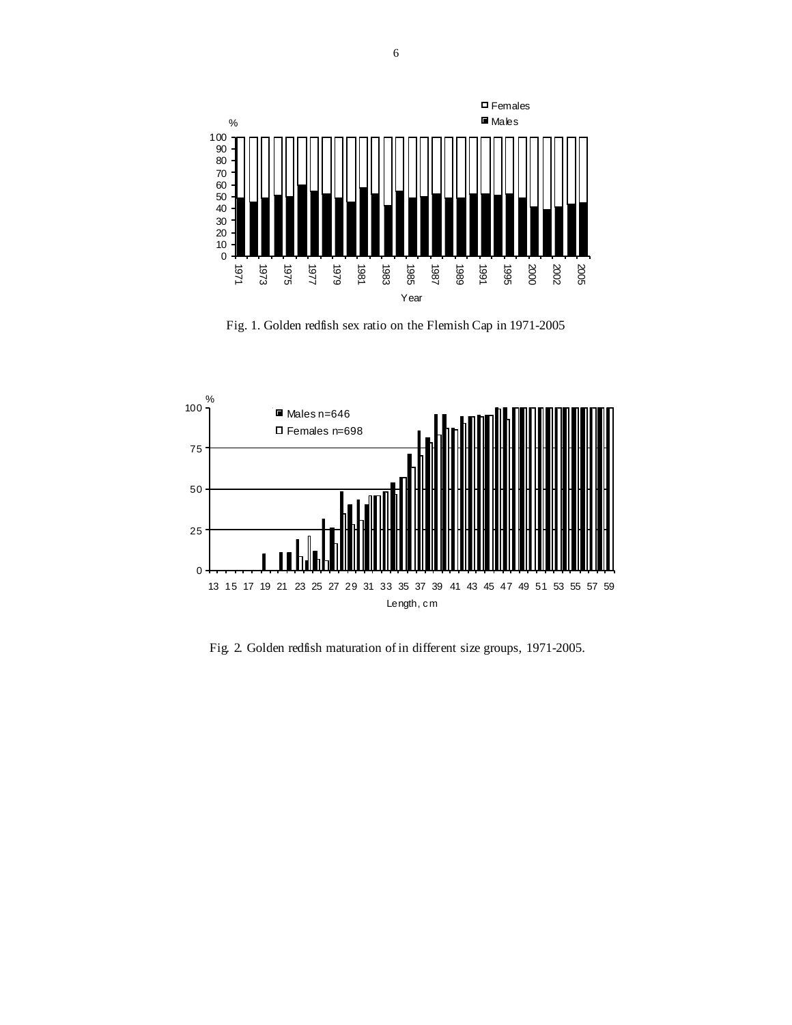

Fig. 1. Golden redfish sex ratio on the Flemish Cap in 1971-2005



Fig. 2. Golden redfish maturation of in different size groups, 1971-2005.